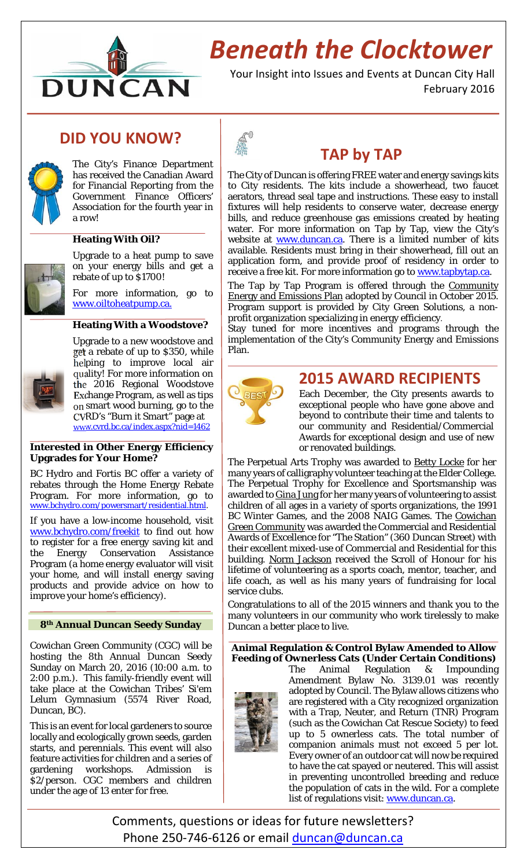

# *Beneath the Clocktower*

Your Insight into Issues and Events at Duncan City Hall February 2016

## **DID YOU KNOW?**



The City's Finance Department has received the Canadian Award for Financial Reporting from the Government Finance Officers' Association for the fourth year in a row!

### **Heating With Oil?**

Upgrade to a heat pump to save on your energy bills and get a rebate of up to \$1700!

For more information, go to www.oiltoheatpump.ca.

#### **Heating With a Woodstove?**



Upgrade to a new woodstove and get a rebate of up to \$350, while helping to improve local air quality! For more information on the 2016 Regional Woodstove Exchange Program, as well as tips on smart wood burning, go to the CVRD's "Burn it Smart" page at www.cvrd.bc.ca/index.aspx?nid=1462

#### **Interested in Other Energy Efficiency Upgrades for Your Home?**

BC Hydro and Fortis BC offer a variety of rebates through the Home Energy Rebate Program. For more information, go to www.bchydro.com/powersmart/residential.html.

If you have a low-income household, visit www.bchydro.com/freekit to find out how to register for a free energy saving kit and the Energy Conservation Assistance Program (a home energy evaluator will visit your home, and will install energy saving products and provide advice on how to improve your home's efficiency).

### **8th Annual Duncan Seedy Sunday**

Cowichan Green Community (CGC) will be hosting the 8th Annual Duncan Seedy Sunday on March 20, 2016 (10:00 a.m. to 2:00 p.m.). This family-friendly event will take place at the Cowichan Tribes' Si'em Lelum Gymnasium (5574 River Road, Duncan, BC).

This is an event for local gardeners to source locally and ecologically grown seeds, garden starts, and perennials. This event will also feature activities for children and a series of gardening workshops. Admission is \$2/person. CGC members and children under the age of 13 enter for free.



### **TAP by TAP**

The City of Duncan is offering FREE water and energy savings kits to City residents. The kits include a showerhead, two faucet aerators, thread seal tape and instructions. These easy to install fixtures will help residents to conserve water, decrease energy bills, and reduce greenhouse gas emissions created by heating water. For more information on Tap by Tap, view the City's website at **www.duncan.ca**. There is a limited number of kits available. Residents must bring in their showerhead, fill out an application form, and provide proof of residency in order to receive a free kit. For more information go to www.tapbytap.ca.

The Tap by Tap Program is offered through the Community Energy and Emissions Plan adopted by Council in October 2015. Program support is provided by City Green Solutions, a nonprofit organization specializing in energy efficiency.

Stay tuned for more incentives and programs through the implementation of the City's Community Energy and Emissions Plan.



### **2015 AWARD RECIPIENTS**

Each December, the City presents awards to exceptional people who have gone above and beyond to contribute their time and talents to our community and Residential/Commercial Awards for exceptional design and use of new or renovated buildings.

The Perpetual Arts Trophy was awarded to **Betty Locke** for her many years of calligraphy volunteer teaching at the Elder College. The Perpetual Trophy for Excellence and Sportsmanship was awarded to Gina Jung for her many years of volunteering to assist children of all ages in a variety of sports organizations, the 1991 BC Winter Games, and the 2008 NAIG Games. The Cowichan Green Community was awarded the Commercial and Residential Awards of Excellence for "The Station" (360 Duncan Street) with their excellent mixed-use of Commercial and Residential for this building. Norm Jackson received the Scroll of Honour for his lifetime of volunteering as a sports coach, mentor, teacher, and life coach, as well as his many years of fundraising for local service clubs.

Congratulations to all of the 2015 winners and thank you to the many volunteers in our community who work tirelessly to make Duncan a better place to live.

**Animal Regulation & Control Bylaw Amended to Allow Feeding of Ownerless Cats (Under Certain Conditions)** 

The Animal Regulation & Impounding Amendment Bylaw No. 3139.01 was recently adopted by Council. The Bylaw allows citizens who are registered with a City recognized organization with a Trap, Neuter, and Return (TNR) Program (such as the Cowichan Cat Rescue Society) to feed up to 5 ownerless cats. The total number of companion animals must not exceed 5 per lot. Every owner of an outdoor cat will now be required to have the cat spayed or neutered. This will assist in preventing uncontrolled breeding and reduce the population of cats in the wild. For a complete list of regulations visit: www.duncan.ca.

Comments, questions or ideas for future newsletters? Phone 250-746-6126 or email duncan@duncan.ca